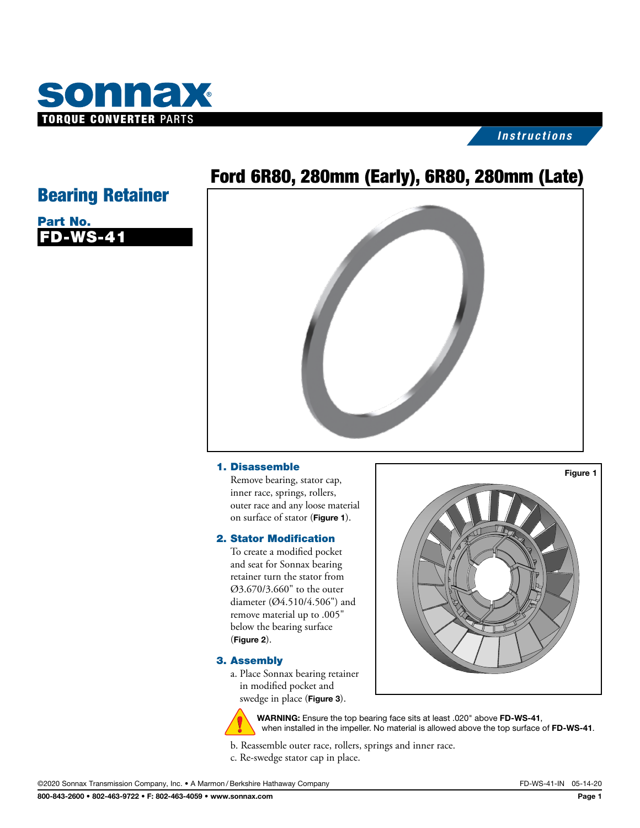

## *Instructions*

# Ford 6R80, 280mm (Early), 6R80, 280mm (Late)

# Bearing Retainer

| Part No. |          |
|----------|----------|
|          | FD-WS-41 |

### 1. Disassemble

Remove bearing, stator cap, inner race, springs, rollers, outer race and any loose material on surface of stator (Figure 1).

### 2. Stator Modification

To create a modified pocket and seat for Sonnax bearing retainer turn the stator from Ø3.670/3.660" to the outer diameter (Ø4.510/4.506") and remove material up to .005" below the bearing surface (Figure 2).

### 3. Assembly

a. Place Sonnax bearing retainer in modified pocket and swedge in place (Figure 3).





WARNING: Ensure the top bearing face sits at least .020" above FD-WS-41, when installed in the impeller. No material is allowed above the top surface of FD-WS-41.

b. Reassemble outer race, rollers, springs and inner race.

c. Re-swedge stator cap in place.